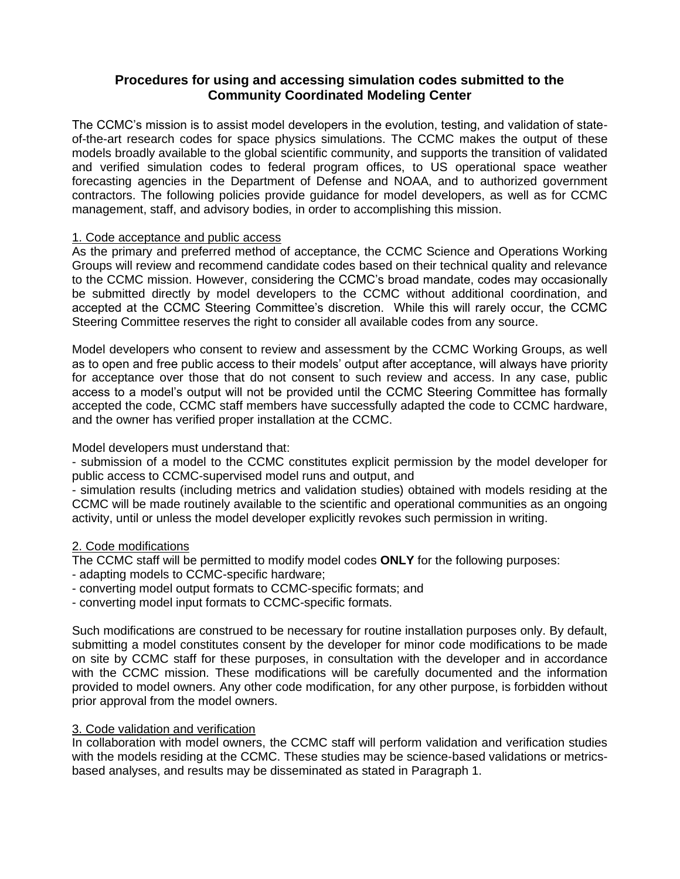# **Procedures for using and accessing simulation codes submitted to the Community Coordinated Modeling Center**

The CCMC's mission is to assist model developers in the evolution, testing, and validation of stateof-the-art research codes for space physics simulations. The CCMC makes the output of these models broadly available to the global scientific community, and supports the transition of validated and verified simulation codes to federal program offices, to US operational space weather forecasting agencies in the Department of Defense and NOAA, and to authorized government contractors. The following policies provide guidance for model developers, as well as for CCMC management, staff, and advisory bodies, in order to accomplishing this mission.

# 1. Code acceptance and public access

As the primary and preferred method of acceptance, the CCMC Science and Operations Working Groups will review and recommend candidate codes based on their technical quality and relevance to the CCMC mission. However, considering the CCMC's broad mandate, codes may occasionally be submitted directly by model developers to the CCMC without additional coordination, and accepted at the CCMC Steering Committee's discretion. While this will rarely occur, the CCMC Steering Committee reserves the right to consider all available codes from any source.

Model developers who consent to review and assessment by the CCMC Working Groups, as well as to open and free public access to their models' output after acceptance, will always have priority for acceptance over those that do not consent to such review and access. In any case, public access to a model's output will not be provided until the CCMC Steering Committee has formally accepted the code, CCMC staff members have successfully adapted the code to CCMC hardware, and the owner has verified proper installation at the CCMC.

Model developers must understand that:

- submission of a model to the CCMC constitutes explicit permission by the model developer for public access to CCMC-supervised model runs and output, and

- simulation results (including metrics and validation studies) obtained with models residing at the CCMC will be made routinely available to the scientific and operational communities as an ongoing activity, until or unless the model developer explicitly revokes such permission in writing.

### 2. Code modifications

The CCMC staff will be permitted to modify model codes **ONLY** for the following purposes:

- adapting models to CCMC-specific hardware;
- converting model output formats to CCMC-specific formats; and
- converting model input formats to CCMC-specific formats.

Such modifications are construed to be necessary for routine installation purposes only. By default, submitting a model constitutes consent by the developer for minor code modifications to be made on site by CCMC staff for these purposes, in consultation with the developer and in accordance with the CCMC mission. These modifications will be carefully documented and the information provided to model owners. Any other code modification, for any other purpose, is forbidden without prior approval from the model owners.

### 3. Code validation and verification

In collaboration with model owners, the CCMC staff will perform validation and verification studies with the models residing at the CCMC. These studies may be science-based validations or metricsbased analyses, and results may be disseminated as stated in Paragraph 1.